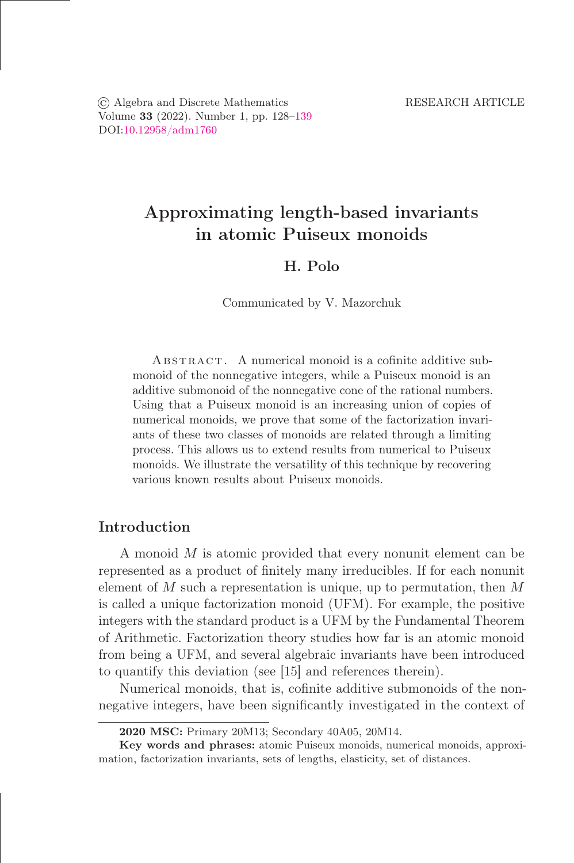© Algebra and Discrete Mathematics RESEARCH ARTICLE Volume 33 (2022). Number 1, pp. 128-139 DOI[:10.12958/adm1760](https://doi.org/10.12958/adm1760)

# Approximating length-based invariants in atomic Puiseux monoids

# H. Polo

Communicated by V. Mazorchuk

ABSTRACT. A numerical monoid is a cofinite additive submonoid of the nonnegative integers, while a Puiseux monoid is an additive submonoid of the nonnegative cone of the rational numbers. Using that a Puiseux monoid is an increasing union of copies of numerical monoids, we prove that some of the factorization invariants of these two classes of monoids are related through a limiting process. This allows us to extend results from numerical to Puiseux monoids. We illustrate the versatility of this technique by recovering various known results about Puiseux monoids.

# Introduction

A monoid M is atomic provided that every nonunit element can be represented as a product of őnitely many irreducibles. If for each nonunit element of M such a representation is unique, up to permutation, then  $M$ is called a unique factorization monoid (UFM). For example, the positive integers with the standard product is a UFM by the Fundamental Theorem of Arithmetic. Factorization theory studies how far is an atomic monoid from being a UFM, and several algebraic invariants have been introduced to quantify this deviation (see [15] and references therein).

Numerical monoids, that is, cofinite additive submonoids of the nonnegative integers, have been significantly investigated in the context of

<sup>2020</sup> MSC: Primary 20M13; Secondary 40A05, 20M14.

Key words and phrases: atomic Puiseux monoids, numerical monoids, approximation, factorization invariants, sets of lengths, elasticity, set of distances.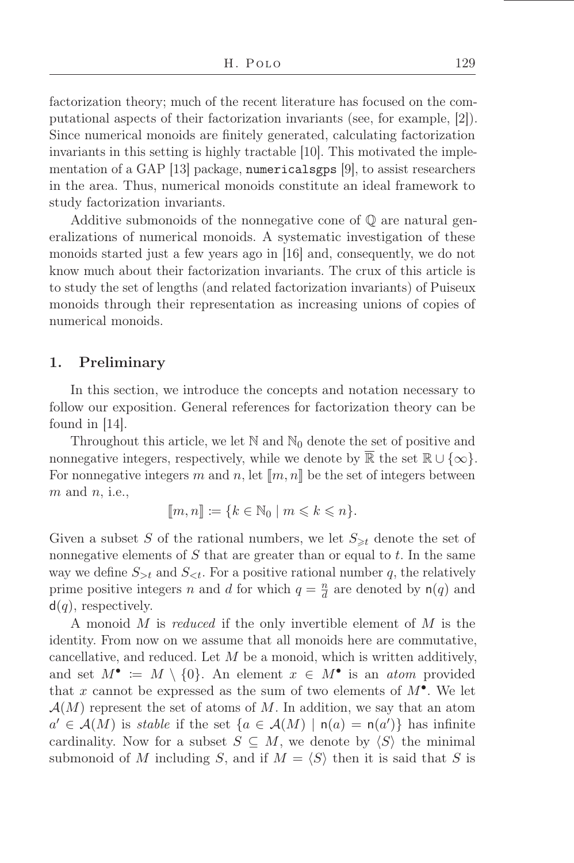factorization theory; much of the recent literature has focused on the computational aspects of their factorization invariants (see, for example, [2]). Since numerical monoids are őnitely generated, calculating factorization invariants in this setting is highly tractable [10]. This motivated the implementation of a GAP [13] package, numericalsgps [9], to assist researchers in the area. Thus, numerical monoids constitute an ideal framework to study factorization invariants.

Additive submonoids of the nonnegative cone of Q are natural generalizations of numerical monoids. A systematic investigation of these monoids started just a few years ago in [16] and, consequently, we do not know much about their factorization invariants. The crux of this article is to study the set of lengths (and related factorization invariants) of Puiseux monoids through their representation as increasing unions of copies of numerical monoids.

### 1. Preliminary

In this section, we introduce the concepts and notation necessary to follow our exposition. General references for factorization theory can be found in  $|14|$ .

Throughout this article, we let  $\mathbb N$  and  $\mathbb N_0$  denote the set of positive and nonnegative integers, respectively, while we denote by  $\mathbb R$  the set  $\mathbb R \cup \{\infty\}$ . For nonnegative integers m and n, let  $\llbracket m, n \rrbracket$  be the set of integers between  $m$  and  $n$ , i.e.,

$$
[\![m,n]\!]:=\{k\in\mathbb{N}_0\mid m\leqslant k\leqslant n\}.
$$

Given a subset S of the rational numbers, we let  $S_{\geq t}$  denote the set of nonnegative elements of  $S$  that are greater than or equal to  $t$ . In the same way we define  $S_{\geq t}$  and  $S_{\leq t}$ . For a positive rational number q, the relatively prime positive integers n and d for which  $q = \frac{n}{d}$  $\frac{n}{d}$  are denoted by  $n(q)$  and  $d(q)$ , respectively.

A monoid M is reduced if the only invertible element of M is the identity. From now on we assume that all monoids here are commutative, cancellative, and reduced. Let  $M$  be a monoid, which is written additively, and set  $M^{\bullet} := M \setminus \{0\}$ . An element  $x \in M^{\bullet}$  is an *atom* provided that x cannot be expressed as the sum of two elements of  $M^{\bullet}$ . We let  $\mathcal{A}(M)$  represent the set of atoms of M. In addition, we say that an atom  $a' \in \mathcal{A}(M)$  is stable if the set  $\{a \in \mathcal{A}(M) \mid n(a) = n(a')\}$  has infinite cardinality. Now for a subset  $S \subseteq M$ , we denote by  $\langle S \rangle$  the minimal submonoid of M including S, and if  $M = \langle S \rangle$  then it is said that S is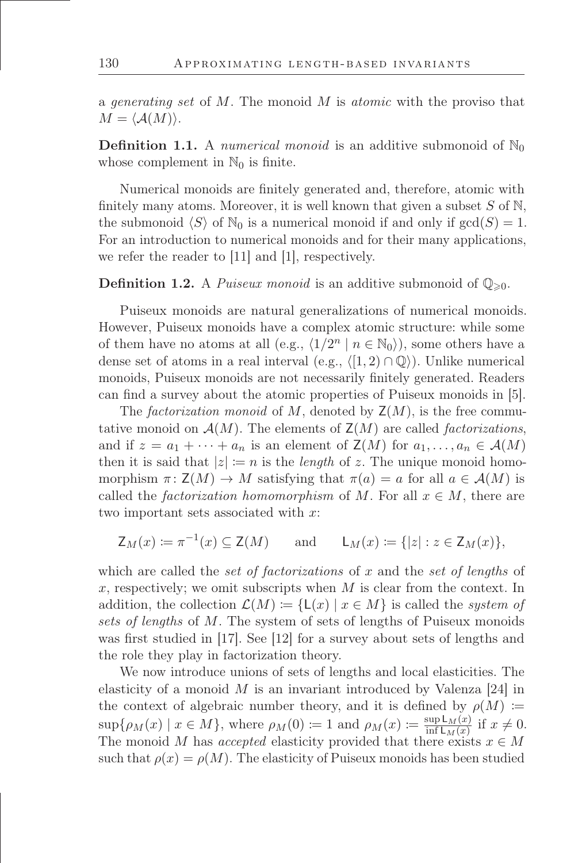a *generating set* of  $M$ . The monoid  $M$  is *atomic* with the proviso that  $M = \langle \mathcal{A}(M) \rangle$ .

**Definition 1.1.** A numerical monoid is an additive submonoid of  $\mathbb{N}_0$ whose complement in  $\mathbb{N}_0$  is finite.

Numerical monoids are finitely generated and, therefore, atomic with finitely many atoms. Moreover, it is well known that given a subset  $S$  of  $\mathbb{N}$ , the submonoid  $\langle S \rangle$  of  $\mathbb{N}_0$  is a numerical monoid if and only if  $gcd(S) = 1$ . For an introduction to numerical monoids and for their many applications, we refer the reader to [11] and [1], respectively.

**Definition 1.2.** A *Puiseux monoid* is an additive submonoid of  $\mathbb{Q}_{\geq 0}$ .

Puiseux monoids are natural generalizations of numerical monoids. However, Puiseux monoids have a complex atomic structure: while some of them have no atoms at all (e.g.,  $\langle 1/2^n | n \in \mathbb{N}_0 \rangle$ ), some others have a dense set of atoms in a real interval (e.g.,  $\langle [1, 2) \cap \mathbb{Q} \rangle$ ). Unlike numerical monoids, Puiseux monoids are not necessarily finitely generated. Readers can find a survey about the atomic properties of Puiseux monoids in [5].

The factorization monoid of M, denoted by  $\mathsf{Z}(M)$ , is the free commutative monoid on  $\mathcal{A}(M)$ . The elements of  $\mathsf{Z}(M)$  are called *factorizations*, and if  $z = a_1 + \cdots + a_n$  is an element of  $\mathsf{Z}(M)$  for  $a_1, \ldots, a_n \in \mathcal{A}(M)$ then it is said that  $|z| := n$  is the *length* of z. The unique monoid homomorphism  $\pi: Z(M) \to M$  satisfying that  $\pi(a) = a$  for all  $a \in \mathcal{A}(M)$  is called the *factorization homomorphism* of M. For all  $x \in M$ , there are two important sets associated with  $x$ :

$$
\mathsf{Z}_M(x) \coloneqq \pi^{-1}(x) \subseteq \mathsf{Z}(M) \quad \text{and} \quad \mathsf{L}_M(x) \coloneqq \{|z| : z \in \mathsf{Z}_M(x)\},
$$

which are called the set of factorizations of x and the set of lengths of x, respectively; we omit subscripts when  $M$  is clear from the context. In addition, the collection  $\mathcal{L}(M) := \{ \mathsf{L}(x) \mid x \in M \}$  is called the system of sets of lengths of M. The system of sets of lengths of Puiseux monoids was first studied in  $|17|$ . See  $|12|$  for a survey about sets of lengths and the role they play in factorization theory.

We now introduce unions of sets of lengths and local elasticities. The elasticity of a monoid  $M$  is an invariant introduced by Valenza [24] in the context of algebraic number theory, and it is defined by  $\rho(M) :=$  $\sup\{\rho_M(x) \mid x \in M\}$ , where  $\rho_M(0) \coloneqq 1$  and  $\rho_M(x) \coloneqq \frac{\sup L_M(x)}{\inf L_M(x)}$  $\frac{\sup L_M(x)}{\inf L_M(x)}$  if  $x \neq 0$ . The monoid M has accepted elasticity provided that there exists  $x \in M$ such that  $\rho(x) = \rho(M)$ . The elasticity of Puiseux monoids has been studied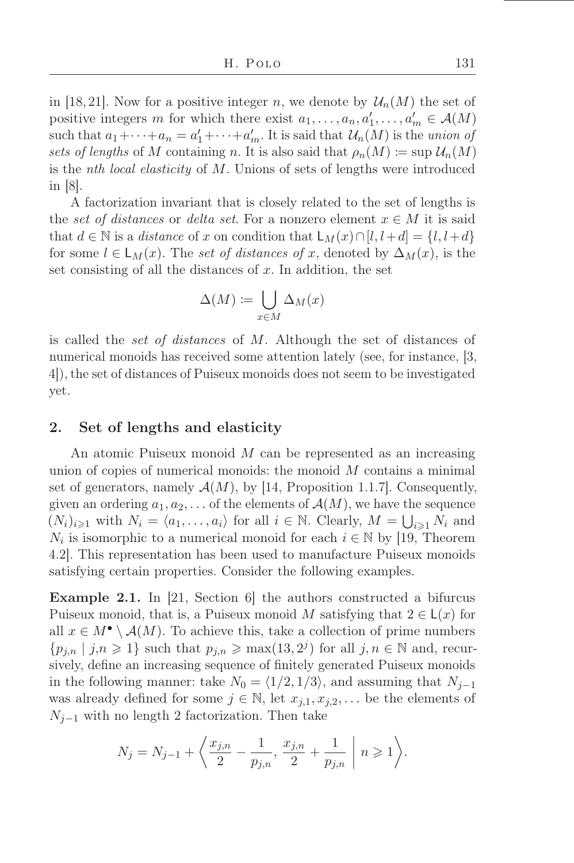in [18, 21]. Now for a positive integer n, we denote by  $\mathcal{U}_n(M)$  the set of positive integers m for which there exist  $a_1, \ldots, a_n, a'_1, \ldots, a'_m \in \mathcal{A}(M)$ such that  $a_1 + \cdots + a_n = a'_1 + \cdots + a'_m$ . It is said that  $\mathcal{U}_n(M)$  is the union of sets of lengths of M containing n. It is also said that  $\rho_n(M) \coloneqq \sup \mathcal{U}_n(M)$ is the nth local elasticity of M. Unions of sets of lengths were introduced in [8].

A factorization invariant that is closely related to the set of lengths is the set of distances or delta set. For a nonzero element  $x \in M$  it is said that  $d \in \mathbb{N}$  is a *distance* of x on condition that  $L_M(x) \cap [l, l+d] = \{l, l+d\}$ for some  $l \in L_M(x)$ . The set of distances of x, denoted by  $\Delta_M(x)$ , is the set consisting of all the distances of  $x$ . In addition, the set

$$
\Delta(M) \coloneqq \bigcup_{x \in M} \Delta_M(x)
$$

is called the set of distances of M. Although the set of distances of numerical monoids has received some attention lately (see, for instance, [3, 4]), the set of distances of Puiseux monoids does not seem to be investigated yet.

### 2. Set of lengths and elasticity

An atomic Puiseux monoid M can be represented as an increasing union of copies of numerical monoids: the monoid  $M$  contains a minimal set of generators, namely  $\mathcal{A}(M)$ , by [14, Proposition 1.1.7]. Consequently, given an ordering  $a_1, a_2, \ldots$  of the elements of  $\mathcal{A}(M)$ , we have the sequence  $(N_i)_{i\geqslant 1}$  with  $N_i = \langle a_1, \ldots, a_i \rangle$  for all  $i \in \mathbb{N}$ . Clearly,  $M = \bigcup_{i\geqslant 1} N_i$  and  $N_i$  is isomorphic to a numerical monoid for each  $i \in \mathbb{N}$  by [19, Theorem 4.2]. This representation has been used to manufacture Puiseux monoids satisfying certain properties. Consider the following examples.

Example 2.1. In [21, Section 6] the authors constructed a bifurcus Puiseux monoid, that is, a Puiseux monoid M satisfying that  $2 \in L(x)$  for all  $x \in M^{\bullet} \setminus \mathcal{A}(M)$ . To achieve this, take a collection of prime numbers  ${p_{j,n} | j,n \geqslant 1}$  such that  $p_{j,n} \geqslant \max(13, 2^j)$  for all  $j, n \in \mathbb{N}$  and, recursively, define an increasing sequence of finitely generated Puiseux monoids in the following manner: take  $N_0 = \langle 1/2, 1/3 \rangle$ , and assuming that  $N_{i-1}$ was already defined for some  $j \in \mathbb{N}$ , let  $x_{j,1}, x_{j,2}, \ldots$  be the elements of  $N_{i-1}$  with no length 2 factorization. Then take

$$
N_j = N_{j-1} + \left\langle \frac{x_{j,n}}{2} - \frac{1}{p_{j,n}}, \frac{x_{j,n}}{2} + \frac{1}{p_{j,n}} \right| n \geqslant 1 \right\rangle.
$$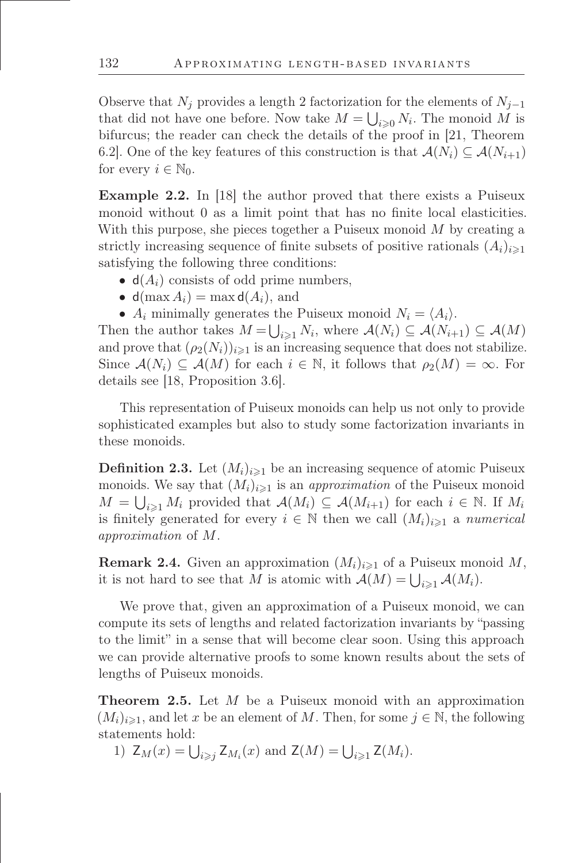Observe that  $N_j$  provides a length 2 factorization for the elements of  $N_{j-1}$ that did not have one before. Now take  $M = \bigcup_{i \geqslant 0} N_i$ . The monoid M is bifurcus; the reader can check the details of the proof in [21, Theorem 6.2]. One of the key features of this construction is that  $\mathcal{A}(N_i) \subseteq \mathcal{A}(N_{i+1})$ for every  $i \in \mathbb{N}_0$ .

Example 2.2. In [18] the author proved that there exists a Puiseux monoid without 0 as a limit point that has no finite local elasticities. With this purpose, she pieces together a Puiseux monoid  $M$  by creating a strictly increasing sequence of finite subsets of positive rationals  $(A_i)_{i\geq 1}$ satisfying the following three conditions:

- $d(A_i)$  consists of odd prime numbers,
- $d(\max A_i) = \max d(A_i)$ , and
- $A_i$  minimally generates the Puiseux monoid  $N_i = \langle A_i \rangle$ .

Then the author takes  $M = \bigcup_{i \geqslant 1} N_i$ , where  $\mathcal{A}(N_i) \subseteq \mathcal{A}(N_{i+1}) \subseteq \mathcal{A}(M)$ and prove that  $(\rho_2(N_i))_{i\geq 1}$  is an increasing sequence that does not stabilize. Since  $\mathcal{A}(N_i) \subseteq \mathcal{A}(M)$  for each  $i \in \mathbb{N}$ , it follows that  $\rho_2(M) = \infty$ . For details see [18, Proposition 3.6].

This representation of Puiseux monoids can help us not only to provide sophisticated examples but also to study some factorization invariants in these monoids.

**Definition 2.3.** Let  $(M_i)_{i\geq 1}$  be an increasing sequence of atomic Puiseux monoids. We say that  $(M_i)_{i\geq 1}$  is an *approximation* of the Puiseux monoid  $M = \bigcup_{i \geq 1} M_i$  provided that  $\mathcal{A}(M_i) \subseteq \mathcal{A}(M_{i+1})$  for each  $i \in \mathbb{N}$ . If  $M_i$ is finitely generated for every  $i \in \mathbb{N}$  then we call  $(M_i)_{i \geq 1}$  a numerical approximation of M.

<span id="page-4-0"></span>**Remark 2.4.** Given an approximation  $(M_i)_{i\geq 1}$  of a Puiseux monoid M, it is not hard to see that M is atomic with  $\mathcal{A}(M) = \bigcup_{i \geq 1} \mathcal{A}(M_i)$ .

We prove that, given an approximation of a Puiseux monoid, we can compute its sets of lengths and related factorization invariants by "passing to the limitž in a sense that will become clear soon. Using this approach we can provide alternative proofs to some known results about the sets of lengths of Puiseux monoids.

<span id="page-4-1"></span>Theorem 2.5. Let M be a Puiseux monoid with an approximation  $(M_i)_{i\geq 1}$ , and let x be an element of M. Then, for some  $j \in \mathbb{N}$ , the following statements hold:

1)  $Z_M(x) = \bigcup_{i \geq j} Z_{M_i}(x)$  and  $Z(M) = \bigcup_{i \geq 1} Z(M_i)$ .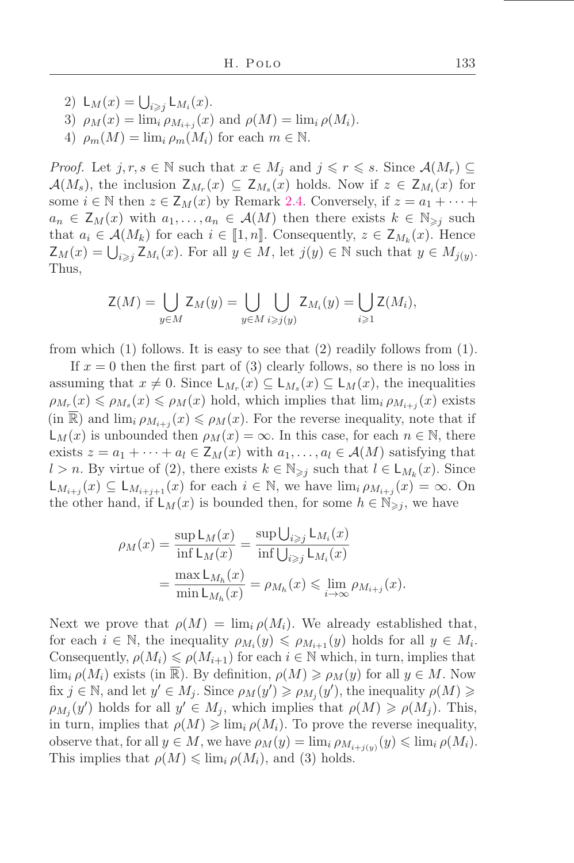- 2)  $\mathsf{L}_M(x) = \bigcup_{i \geq j} \mathsf{L}_{M_i}(x)$ .
- 3)  $\rho_M(x) = \lim_i \rho_{M_{i+j}}(x)$  and  $\rho(M) = \lim_i \rho(M_i)$ .
- 4)  $\rho_m(M) = \lim_i \rho_m(M_i)$  for each  $m \in \mathbb{N}$ .

*Proof.* Let  $j, r, s \in \mathbb{N}$  such that  $x \in M_j$  and  $j \leqslant r \leqslant s$ . Since  $\mathcal{A}(M_r) \subseteq$  $\mathcal{A}(M_s)$ , the inclusion  $\mathsf{Z}_{M_r}(x) \subseteq \mathsf{Z}_{M_s}(x)$  holds. Now if  $z \in \mathsf{Z}_{M_i}(x)$  for some  $i \in \mathbb{N}$  then  $z \in \mathsf{Z}_M(x)$  by Remark [2.4.](#page-4-0) Conversely, if  $z = a_1 + \cdots + a_n$  $a_n \in \mathsf{Z}_M(x)$  with  $a_1, \ldots, a_n \in \mathcal{A}(M)$  then there exists  $k \in \mathbb{N}_{\geqslant i}$  such that  $a_i \in \mathcal{A}(M_k)$  for each  $i \in [1, n]$ . Consequently,  $z \in \mathsf{Z}_{M_k}(x)$ . Hence  $\mathsf{Z}_M(x) = \bigcup_{i \geq j} \mathsf{Z}_{M_i}(x)$ . For all  $y \in M$ , let  $j(y) \in \mathbb{N}$  such that  $y \in M_{j(y)}$ . Thus,

$$
\mathsf{Z}(M) = \bigcup_{y \in M} \mathsf{Z}_M(y) = \bigcup_{y \in M} \bigcup_{i \geq j(y)} \mathsf{Z}_{M_i}(y) = \bigcup_{i \geq 1} \mathsf{Z}(M_i),
$$

from which (1) follows. It is easy to see that (2) readily follows from (1).

If  $x = 0$  then the first part of (3) clearly follows, so there is no loss in assuming that  $x \neq 0$ . Since  $\mathsf{L}_{M_r}(x) \subseteq \mathsf{L}_{M_s}(x) \subseteq \mathsf{L}_M(x)$ , the inequalities  $\rho_{M_r}(x) \leqslant \rho_{M_s}(x) \leqslant \rho_M(x)$  hold, which implies that  $\lim_i \rho_{M_{i+j}}(x)$  exists  $(\text{in } \mathbb{R})$  and  $\lim_{i} \rho_{M_{i+j}}(x) \leq \rho_M(x)$ . For the reverse inequality, note that if  $L_M(x)$  is unbounded then  $\rho_M(x) = \infty$ . In this case, for each  $n \in \mathbb{N}$ , there exists  $z = a_1 + \cdots + a_l \in \mathsf{Z}_M(x)$  with  $a_1, \ldots, a_l \in \mathcal{A}(M)$  satisfying that l > n. By virtue of (2), there exists  $k \in \mathbb{N}_{\geq j}$  such that  $l \in L_{M_k}(x)$ . Since  $\mathsf{L}_{M_{i+j}}(x) \subseteq \mathsf{L}_{M_{i+j+1}}(x)$  for each  $i \in \mathbb{N}$ , we have  $\lim_{i \to \infty} \rho_{M_{i+j}}(x) = \infty$ . On the other hand, if  $L_M(x)$  is bounded then, for some  $h \in \mathbb{N}_{\geqslant i}$ , we have

$$
\rho_M(x) = \frac{\sup L_M(x)}{\inf L_M(x)} = \frac{\sup \bigcup_{i \geq j} L_{M_i}(x)}{\inf \bigcup_{i \geq j} L_{M_i}(x)}
$$

$$
= \frac{\max L_{M_h}(x)}{\min L_{M_h}(x)} = \rho_{M_h}(x) \leq \lim_{i \to \infty} \rho_{M_{i+j}}(x).
$$

Next we prove that  $\rho(M) = \lim_{i} \rho(M_i)$ . We already established that, for each  $i \in \mathbb{N}$ , the inequality  $\rho_{M_i}(y) \leq \rho_{M_{i+1}}(y)$  holds for all  $y \in M_i$ . Consequently,  $\rho(M_i) \leq \rho(M_{i+1})$  for each  $i \in \mathbb{N}$  which, in turn, implies that  $\lim_{i} \rho(M_i)$  exists (in R). By definition,  $\rho(M) \geq \rho_M(y)$  for all  $y \in M$ . Now fix  $j \in \mathbb{N}$ , and let  $y' \in M_j$ . Since  $\rho_M(y') \geqslant \rho_{M_j}(y')$ , the inequality  $\rho(M) \geqslant$  $\rho_{M_j}(y')$  holds for all  $y' \in M_j$ , which implies that  $\rho(M) \geqslant \rho(M_j)$ . This, in turn, implies that  $\rho(M) \geq \lim_{i} \rho(M_i)$ . To prove the reverse inequality, observe that, for all  $y \in M$ , we have  $\rho_M(y) = \lim_i \rho_{M_{i+j}(y)}(y) \leq \lim_i \rho(M_i)$ . This implies that  $\rho(M) \leq \lim_{i} \rho(M_i)$ , and (3) holds.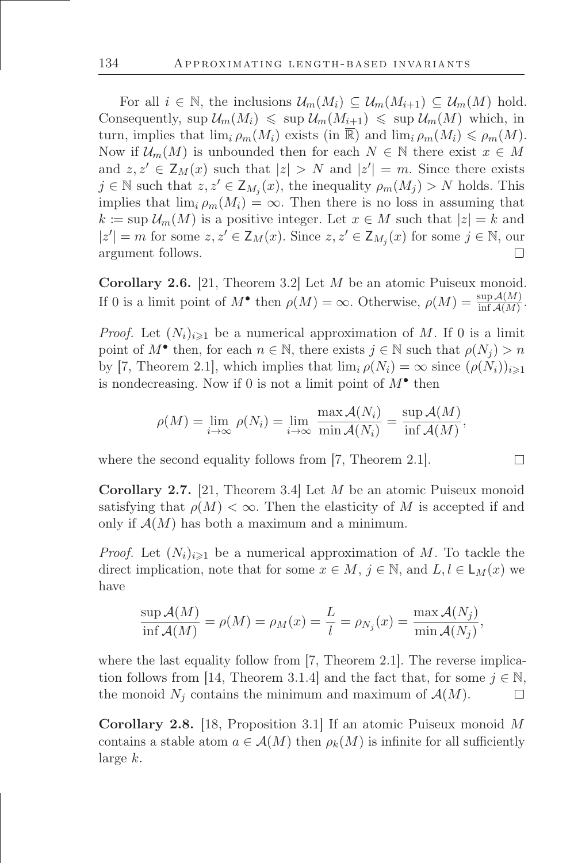For all  $i \in \mathbb{N}$ , the inclusions  $\mathcal{U}_m(M_i) \subseteq \mathcal{U}_m(M_{i+1}) \subseteq \mathcal{U}_m(M)$  hold. Consequently,  $\sup \mathcal{U}_m(M_i) \leq \sup \mathcal{U}_m(M_{i+1}) \leq \sup \mathcal{U}_m(M)$  which, in turn, implies that  $\lim_{i \to \infty} \rho_m(M_i)$  exists (in  $\mathbb{R}$ ) and  $\lim_{i \to \infty} \rho_m(M_i) \leq \rho_m(M)$ . Now if  $\mathcal{U}_m(M)$  is unbounded then for each  $N \in \mathbb{N}$  there exist  $x \in M$ and  $z, z' \in Z_M(x)$  such that  $|z| > N$  and  $|z'| = m$ . Since there exists  $j \in \mathbb{N}$  such that  $z, z' \in \mathsf{Z}_{M_j}(x)$ , the inequality  $\rho_m(M_j) > N$  holds. This implies that  $\lim_{i} \rho_m(M_i) = \infty$ . Then there is no loss in assuming that  $k \coloneqq \sup \mathcal{U}_m(M)$  is a positive integer. Let  $x \in M$  such that  $|z| = k$  and  $|z'| = m$  for some  $z, z' \in \mathsf{Z}_M(x)$ . Since  $z, z' \in \mathsf{Z}_{M_j}(x)$  for some  $j \in \mathbb{N}$ , our argument follows.  $\Box$ 

Corollary 2.6. [21, Theorem 3.2] Let M be an atomic Puiseux monoid. If 0 is a limit point of  $M^{\bullet}$  then  $\rho(M) = \infty$ . Otherwise,  $\rho(M) = \frac{\sup A(M)}{\inf A(M)}$ .

*Proof.* Let  $(N_i)_{i\geq 1}$  be a numerical approximation of M. If 0 is a limit point of  $M^{\bullet}$  then, for each  $n \in \mathbb{N}$ , there exists  $j \in \mathbb{N}$  such that  $\rho(N_j) > n$ by [7, Theorem 2.1], which implies that  $\lim_i \rho(N_i) = \infty$  since  $(\rho(N_i))_{i \geq 1}$ is nondecreasing. Now if 0 is not a limit point of  $M^{\bullet}$  then

$$
\rho(M) = \lim_{i \to \infty} \rho(N_i) = \lim_{i \to \infty} \frac{\max \mathcal{A}(N_i)}{\min \mathcal{A}(N_i)} = \frac{\sup \mathcal{A}(M)}{\inf \mathcal{A}(M)},
$$

where the second equality follows from [7, Theorem 2.1].

Corollary 2.7. [21, Theorem 3.4] Let M be an atomic Puiseux monoid satisfying that  $\rho(M) < \infty$ . Then the elasticity of M is accepted if and only if  $\mathcal{A}(M)$  has both a maximum and a minimum.

*Proof.* Let  $(N_i)_{i\geq 1}$  be a numerical approximation of M. To tackle the direct implication, note that for some  $x \in M$ ,  $j \in \mathbb{N}$ , and  $L, l \in L_M(x)$  we have

$$
\frac{\sup A(M)}{\inf A(M)} = \rho(M) = \rho_M(x) = \frac{L}{l} = \rho_{N_j}(x) = \frac{\max A(N_j)}{\min A(N_j)},
$$

where the last equality follow from [7, Theorem 2.1]. The reverse implication follows from [14, Theorem 3.1.4] and the fact that, for some  $j \in \mathbb{N}$ , the monoid  $N_j$  contains the minimum and maximum of  $\mathcal{A}(M)$ .  $\Box$ 

Corollary 2.8. [18, Proposition 3.1] If an atomic Puiseux monoid M contains a stable atom  $a \in \mathcal{A}(M)$  then  $\rho_k(M)$  is infinite for all sufficiently large k.

 $\Box$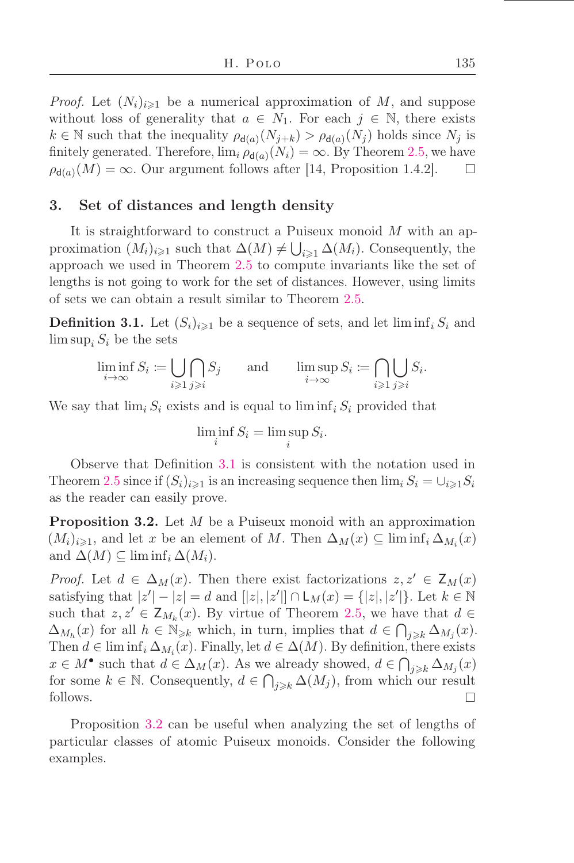*Proof.* Let  $(N_i)_{i\geq 1}$  be a numerical approximation of M, and suppose without loss of generality that  $a \in N_1$ . For each  $j \in \mathbb{N}$ , there exists  $k \in \mathbb{N}$  such that the inequality  $\rho_{d(a)}(N_{j+k}) > \rho_{d(a)}(N_j)$  holds since  $N_j$  is finitely generated. Therefore,  $\lim_{i} \rho_{d(a)}(N_i) = \infty$ . By Theorem [2.5,](#page-4-1) we have  $\rho_{d(a)}(M) = \infty$ . Our argument follows after [14, Proposition 1.4.2].  $\Box$ 

#### 3. Set of distances and length density

It is straightforward to construct a Puiseux monoid M with an approximation  $(M_i)_{i\geqslant 1}$  such that  $\Delta(M) \neq \bigcup_{i\geqslant 1} \Delta(M_i)$ . Consequently, the approach we used in Theorem [2.5](#page-4-1) to compute invariants like the set of lengths is not going to work for the set of distances. However, using limits of sets we can obtain a result similar to Theorem [2.5.](#page-4-1)

<span id="page-7-0"></span>**Definition 3.1.** Let  $(S_i)_{i\geq 1}$  be a sequence of sets, and let  $\liminf_i S_i$  and  $\limsup_i S_i$  be the sets

$$
\liminf_{i \to \infty} S_i := \bigcup_{i \geq 1} \bigcap_{j \geq i} S_j \quad \text{and} \quad \limsup_{i \to \infty} S_i := \bigcap_{i \geq 1} \bigcup_{j \geq i} S_i.
$$

We say that  $\lim_i S_i$  exists and is equal to  $\liminf_i S_i$  provided that

$$
\liminf_{i} S_i = \limsup_{i} S_i.
$$

Observe that Deőnition [3.1](#page-7-0) is consistent with the notation used in Theorem [2.5](#page-4-1) since if  $(S_i)_{i\geq 1}$  is an increasing sequence then  $\lim_i S_i = \bigcup_{i\geq 1} S_i$ as the reader can easily prove.

<span id="page-7-1"></span>**Proposition 3.2.** Let M be a Puiseux monoid with an approximation  $(M_i)_{i\geqslant 1}$ , and let x be an element of M. Then  $\Delta_M(x) \subseteq \liminf_i \Delta_{M_i}(x)$ and  $\Delta(M) \subseteq \liminf_i \Delta(M_i)$ .

*Proof.* Let  $d \in \Delta_M(x)$ . Then there exist factorizations  $z, z' \in \mathsf{Z}_M(x)$ satisfying that  $|z'|-|z|=d$  and  $[|z|, |z'|] \cap L_M(x) = \{|z|, |z'|\}$ . Let  $k \in \mathbb{N}$ such that  $z, z' \in \mathsf{Z}_{M_k}(x)$ . By virtue of Theorem [2.5,](#page-4-1) we have that  $d \in$  $\Delta_{M_h}(x)$  for all  $h \in \mathbb{N}_{\geqslant k}$  which, in turn, implies that  $d \in \bigcap_{j \geqslant k} \Delta_{M_j}(x)$ . Then  $d \in \liminf_i \Delta_{M_i}(x)$ . Finally, let  $d \in \Delta(M)$ . By definition, there exists  $x \in M^{\bullet}$  such that  $d \in \Delta_M(x)$ . As we already showed,  $d \in \bigcap_{j \geq k} \Delta_{M_j}(x)$ for some  $k \in \mathbb{N}$ . Consequently,  $d \in \bigcap_{j \geq k} \Delta(M_j)$ , from which our result follows.  $\Box$ 

Proposition [3.2](#page-7-1) can be useful when analyzing the set of lengths of particular classes of atomic Puiseux monoids. Consider the following examples.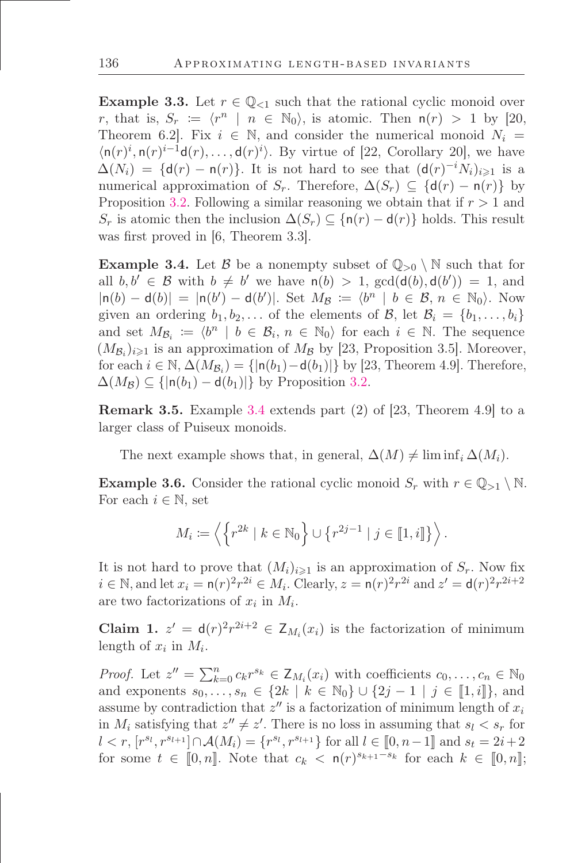**Example 3.3.** Let  $r \in \mathbb{Q}_{\leq 1}$  such that the rational cyclic monoid over r, that is,  $S_r := \langle r^n \mid n \in \mathbb{N}_0 \rangle$ , is atomic. Then  $n(r) > 1$  by [20, Theorem 6.2]. Fix  $i \in \mathbb{N}$ , and consider the numerical monoid  $N_i =$  $\langle \mathsf{n}(r)^i, \mathsf{n}(r)^{i-1}\mathsf{d}(r), \ldots, \mathsf{d}(r)^i \rangle$ . By virtue of [22, Corollary 20], we have  $\Delta(N_i) = \{d(r) - n(r)\}\.$  It is not hard to see that  $(d(r)^{-i}N_i)_{i\geq 1}$  is a numerical approximation of  $S_r$ . Therefore,  $\Delta(S_r) \subseteq \{d(r) - n(r)\}\;$  by Proposition [3.2.](#page-7-1) Following a similar reasoning we obtain that if  $r > 1$  and  $S_r$  is atomic then the inclusion  $\Delta(S_r) \subseteq {\n(nr) - d(r)}$  holds. This result was first proved in  $[6,$  Theorem 3.3.

<span id="page-8-0"></span>**Example 3.4.** Let B be a nonempty subset of  $\mathbb{Q}_{>0} \setminus \mathbb{N}$  such that for all  $b, b' \in \mathcal{B}$  with  $b \neq b'$  we have  $n(b) > 1$ ,  $gcd(d(b), d(b')) = 1$ , and  $|\mathsf{n}(b) - \mathsf{d}(b)| = |\mathsf{n}(b') - \mathsf{d}(b')|$ . Set  $M_{\mathcal{B}} := \langle b^n | b \in \mathcal{B}, n \in \mathbb{N}_0 \rangle$ . Now given an ordering  $b_1, b_2, \ldots$  of the elements of B, let  $\mathcal{B}_i = \{b_1, \ldots, b_i\}$ and set  $M_{\mathcal{B}_i} := \langle b^n \mid b \in \mathcal{B}_i, n \in \mathbb{N}_0 \rangle$  for each  $i \in \mathbb{N}$ . The sequence  $(M_{\mathcal{B}_i})_{i\geqslant1}$  is an approximation of  $M_{\mathcal{B}}$  by [23, Proposition 3.5]. Moreover, for each  $i \in \mathbb{N}$ ,  $\Delta(M_{\mathcal{B}_i}) = \{|\mathsf{n}(b_1) - \mathsf{d}(b_1)|\}$  by [23, Theorem 4.9]. Therefore,  $\Delta(M_{\mathcal{B}}) \subseteq \{|n(b_1) - d(b_1)|\}$  by Proposition [3.2.](#page-7-1)

Remark 3.5. Example [3.4](#page-8-0) extends part (2) of [23, Theorem 4.9] to a larger class of Puiseux monoids.

The next example shows that, in general,  $\Delta(M) \neq \liminf_i \Delta(M_i)$ .

<span id="page-8-2"></span>**Example 3.6.** Consider the rational cyclic monoid  $S_r$  with  $r \in \mathbb{Q}_{>1} \setminus \mathbb{N}$ . For each  $i \in \mathbb{N}$ , set

$$
M_i \coloneqq \left\langle \left\{ r^{2k} \mid k \in \mathbb{N}_0 \right\} \cup \left\{ r^{2j-1} \mid j \in [\![ 1,i ]\!] \right\} \right\rangle.
$$

It is not hard to prove that  $(M_i)_{i\geq 1}$  is an approximation of  $S_r$ . Now fix  $i \in \mathbb{N}$ , and let  $x_i = \mathsf{n}(r)^2 r^{2i} \in M_i$ . Clearly,  $z = \mathsf{n}(r)^2 r^{2i}$  and  $z' = \mathsf{d}(r)^2 r^{2i+2}$ are two factorizations of  $x_i$  in  $M_i$ .

<span id="page-8-1"></span>Claim 1.  $z' = d(r)^2 r^{2i+2} \in Z_{M_i}(x_i)$  is the factorization of minimum length of  $x_i$  in  $M_i$ .

*Proof.* Let  $z'' = \sum_{k=0}^{n} c_k r^{s_k} \in \mathsf{Z}_{M_i}(x_i)$  with coefficients  $c_0, \ldots, c_n \in \mathbb{N}_0$ and exponents  $s_0, \ldots, s_n \in \{2k \mid k \in \mathbb{N}_0\} \cup \{2j-1 \mid j \in [1, i]\},\$ assume by contradiction that  $z''$  is a factorization of minimum length of  $x_i$ in  $M_i$  satisfying that  $z'' \neq z'$ . There is no loss in assuming that  $s_l < s_r$  for  $l < r, [r^{s_l}, r^{s_{l+1}}] \cap \mathcal{A}(M_i) = \{r^{s_l}, r^{s_{l+1}}\}$  for all  $l \in [0, n-1]$  and  $s_t = 2i+2$ for some  $t \in [0, n]$ . Note that  $c_k < \mathsf{n}(r)^{s_{k+1}-s_k}$  for each  $k \in [0, n]$ ;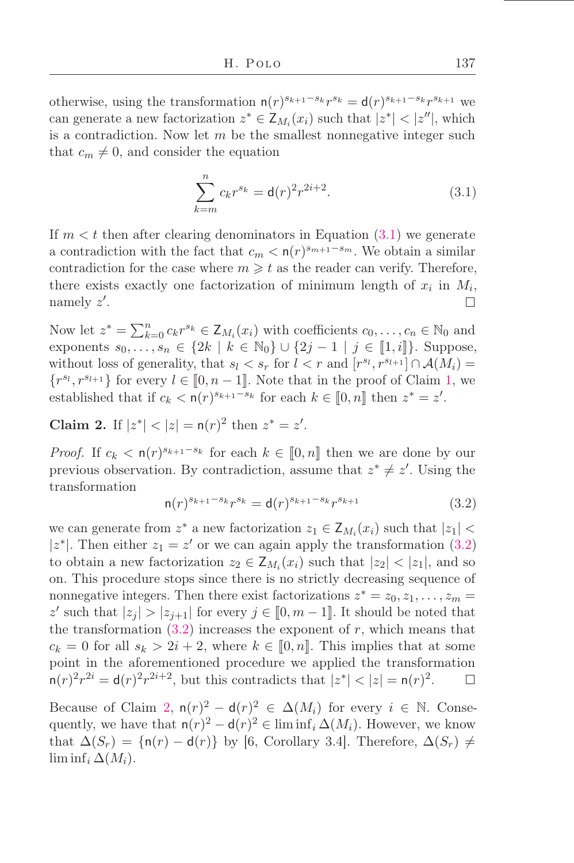otherwise, using the transformation  $n(r)^{s_{k+1}-s_k}r^{s_k} = d(r)^{s_{k+1}-s_k}r^{s_{k+1}}$  we can generate a new factorization  $z^* \in \mathsf{Z}_{M_i}(x_i)$  such that  $|z^*| < |z''|$ , which is a contradiction. Now let  $m$  be the smallest nonnegative integer such that  $c_m \neq 0$ , and consider the equation

<span id="page-9-0"></span>
$$
\sum_{k=m}^{n} c_k r^{s_k} = \mathsf{d}(r)^2 r^{2i+2}.
$$
 (3.1)

If  $m < t$  then after clearing denominators in Equation [\(3.1\)](#page-9-0) we generate a contradiction with the fact that  $c_m < \mathsf{n}(r)^{s_{m+1}-s_m}$ . We obtain a similar contradiction for the case where  $m \geq t$  as the reader can verify. Therefore, there exists exactly one factorization of minimum length of  $x_i$  in  $M_i$ , namely  $z'$ .  $\Box$ 

Now let  $z^* = \sum_{k=0}^n c_k r^{s_k} \in \mathsf{Z}_{M_i}(x_i)$  with coefficients  $c_0, \ldots, c_n \in \mathbb{N}_0$  and exponents  $s_0, \ldots, s_n \in \{2k \mid k \in \mathbb{N}_0\} \cup \{2j-1 \mid j \in [1, i]\}.$  Suppose, without loss of generality, that  $s_l < s_r$  for  $l < r$  and  $[r^{s_l}, r^{s_{l+1}}] \cap A(M_i) =$  $\{r^{s_l}, r^{s_{l+1}}\}$  for every  $l \in [0, n-1]$ . Note that in the proof of Claim [1,](#page-8-1) we established that if  $c_k < \mathsf{n}(r)^{s_{k+1}-s_k}$  for each  $k \in [0, n]$  then  $z^* = z'$ .

<span id="page-9-2"></span>Claim 2. If  $|z^*| < |z| = n(r)^2$  then  $z^* = z'$ .

*Proof.* If  $c_k < \mathsf{n}(r)^{s_{k+1}-s_k}$  for each  $k \in [0,n]$  then we are done by our previous observation. By contradiction, assume that  $z^* \neq z'$ . Using the transformation

<span id="page-9-1"></span>
$$
n(r)^{s_{k+1}-s_k}r^{s_k} = d(r)^{s_{k+1}-s_k}r^{s_{k+1}}
$$
\n(3.2)

we can generate from  $z^*$  a new factorization  $z_1 \in \mathsf{Z}_{M_i}(x_i)$  such that  $|z_1|$  < |z<sup>\*</sup>|. Then either  $z_1 = z'$  or we can again apply the transformation [\(3.2\)](#page-9-1) to obtain a new factorization  $z_2 \in \mathsf{Z}_{M_i}(x_i)$  such that  $|z_2| < |z_1|$ , and so on. This procedure stops since there is no strictly decreasing sequence of nonnegative integers. Then there exist factorizations  $z^* = z_0, z_1, \ldots, z_m =$ z' such that  $|z_j| > |z_{j+1}|$  for every  $j \in [0, m-1]$ . It should be noted that the transformation  $(3.2)$  increases the exponent of r, which means that  $c_k = 0$  for all  $s_k > 2i + 2$ , where  $k \in [0, n]$ . This implies that at some point in the aforementioned procedure we applied the transformation  $n(r)^2 r^{2i} = d(r)^2 r^{2i+2}$ , but this contradicts that  $|z^*| < |z| = n(r)^2$ .  $\Box$ 

Because of Claim [2,](#page-9-2)  $n(r)^2 - d(r)^2 \in \Delta(M_i)$  for every  $i \in \mathbb{N}$ . Consequently, we have that  $n(r)^2 - d(r)^2 \in \liminf_i \Delta(M_i)$ . However, we know that  $\Delta(S_r) = \{n(r) - d(r)\}\$  by [6, Corollary 3.4]. Therefore,  $\Delta(S_r) \neq$  $\liminf_i \Delta(M_i)$ .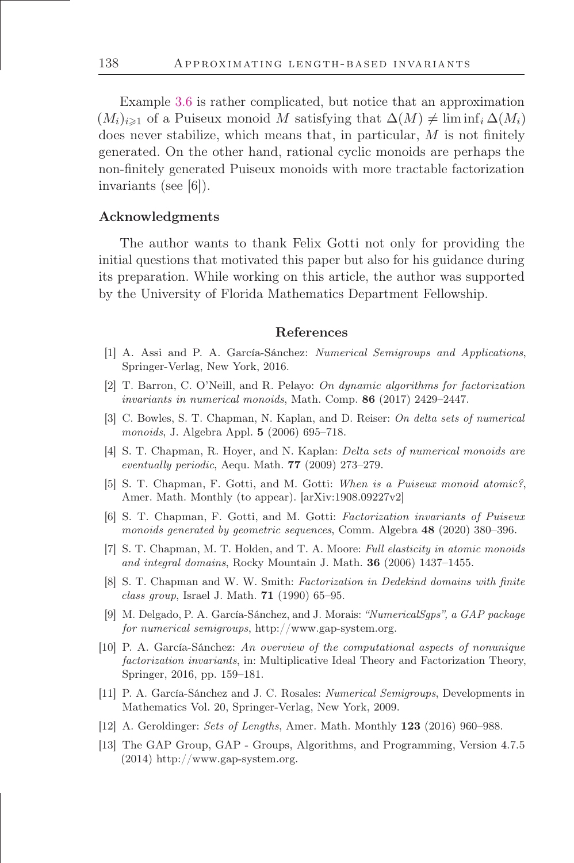Example [3.6](#page-8-2) is rather complicated, but notice that an approximation  $(M_i)_{i\geq 1}$  of a Puiseux monoid M satisfying that  $\Delta(M) \neq \liminf_i \Delta(M_i)$ does never stabilize, which means that, in particular,  $M$  is not finitely generated. On the other hand, rational cyclic monoids are perhaps the non-őnitely generated Puiseux monoids with more tractable factorization invariants (see [6]).

#### Acknowledgments

The author wants to thank Felix Gotti not only for providing the initial questions that motivated this paper but also for his guidance during its preparation. While working on this article, the author was supported by the University of Florida Mathematics Department Fellowship.

#### References

- [1] A. Assi and P. A. García-Sánchez: Numerical Semigroups and Applications, Springer-Verlag, New York, 2016.
- [2] T. Barron, C. O'Neill, and R. Pelayo: On dynamic algorithms for factorization invariants in numerical monoids, Math. Comp.  $86$  (2017) 2429–2447.
- [3] C. Bowles, S. T. Chapman, N. Kaplan, and D. Reiser: On delta sets of numerical monoids, J. Algebra Appl.  $5$  (2006) 695–718.
- [4] S. T. Chapman, R. Hoyer, and N. Kaplan: Delta sets of numerical monoids are eventually periodic, Aequ. Math.  $77$  (2009) 273–279.
- [5] S. T. Chapman, F. Gotti, and M. Gotti: When is a Puiseux monoid atomic?, Amer. Math. Monthly (to appear). [arXiv:1908.09227v2]
- [6] S. T. Chapman, F. Gotti, and M. Gotti: Factorization invariants of Puiseux monoids generated by geometric sequences, Comm. Algebra 48 (2020) 380-396.
- [7] S. T. Chapman, M. T. Holden, and T. A. Moore: Full elasticity in atomic monoids and integral domains, Rocky Mountain J. Math.  $36$  (2006) 1437–1455.
- [8] S. T. Chapman and W. W. Smith: Factorization in Dedekind domains with finite class group, Israel J. Math.  $71$  (1990) 65–95.
- [9] M. Delgado, P. A. García-Sánchez, and J. Morais: "NumericalSgps", a GAP package for numerical semigroups, http://www.gap-system.org.
- [10] P. A. García-Sánchez: An overview of the computational aspects of nonunique factorization invariants, in: Multiplicative Ideal Theory and Factorization Theory, Springer, 2016, pp. 159–181.
- [11] P. A. García-Sánchez and J. C. Rosales: Numerical Semigroups, Developments in Mathematics Vol. 20, Springer-Verlag, New York, 2009.
- [12] A. Geroldinger: Sets of Lengths, Amer. Math. Monthly  $123$  (2016) 960–988.
- [13] The GAP Group, GAP Groups, Algorithms, and Programming, Version 4.7.5 (2014) http://www.gap-system.org.